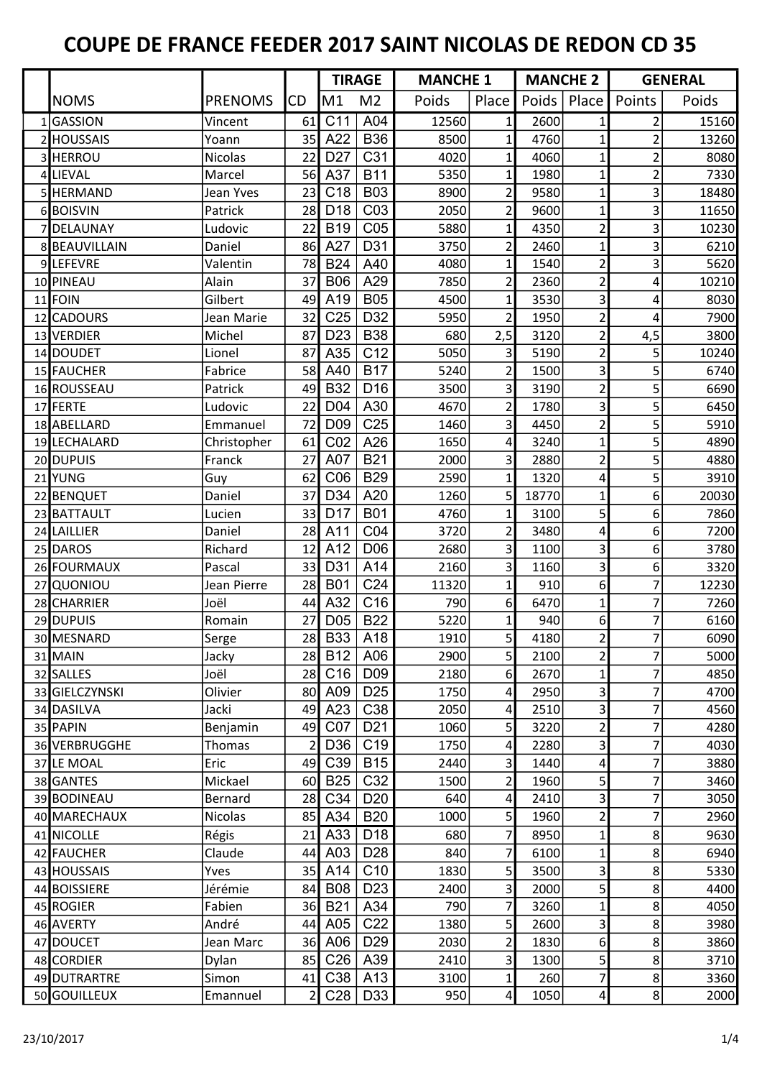|                |                |                | <b>TIRAGE</b>   |                 |       | <b>MANCHE 1</b> |       | <b>MANCHE 2</b>  |                | <b>GENERAL</b> |
|----------------|----------------|----------------|-----------------|-----------------|-------|-----------------|-------|------------------|----------------|----------------|
| <b>NOMS</b>    | <b>PRENOMS</b> | CD             | M1              | M <sub>2</sub>  | Poids | Place           | Poids | Place            | Points         | Poids          |
| 1GASSION       | Vincent        | 61             | C <sub>11</sub> | A04             | 12560 | 1               | 2600  | 1                | $\overline{c}$ | 15160          |
| 2 HOUSSAIS     | Yoann          | 35             | A22             | <b>B36</b>      | 8500  | 1               | 4760  | $\mathbf{1}$     | $\overline{2}$ | 13260          |
| 3 HERROU       | <b>Nicolas</b> | 22             | D <sub>27</sub> | C <sub>31</sub> | 4020  | $\mathbf{1}$    | 4060  | $\mathbf{1}$     | $\overline{2}$ | 8080           |
| 4 LIEVAL       | Marcel         | 56             | A37             | <b>B11</b>      | 5350  | 1               | 1980  | 1                | $\overline{2}$ | 7330           |
| 5 HERMAND      | Jean Yves      | 23             | C <sub>18</sub> | <b>B03</b>      | 8900  | 2               | 9580  | 1                | 3              | 18480          |
| 6BOISVIN       | Patrick        | 28             | D <sub>18</sub> | CO <sub>3</sub> | 2050  | $\overline{2}$  | 9600  | $\mathbf{1}$     | 3              | 11650          |
| 7DELAUNAY      | Ludovic        | 22             | <b>B19</b>      | CO <sub>5</sub> | 5880  | 1               | 4350  | $\overline{2}$   | 3              | 10230          |
| 8 BEAUVILLAIN  | Daniel         | 86             | A27             | D31             | 3750  | 2               | 2460  | 1                | 3              | 6210           |
| 9LEFEVRE       | Valentin       | 78             | <b>B24</b>      | A40             | 4080  | $\mathbf{1}$    | 1540  | $\overline{2}$   | 3              | 5620           |
| 10 PINEAU      | Alain          | 37             | <b>B06</b>      | A29             | 7850  | 2               | 2360  | $\overline{2}$   | 4              | 10210          |
| 11 FOIN        | Gilbert        | 49             | A19             | <b>B05</b>      | 4500  | 1               | 3530  | 3                | 4              | 8030           |
| 12 CADOURS     | Jean Marie     | 32             | C <sub>25</sub> | D32             | 5950  | $\overline{2}$  | 1950  | $\overline{2}$   | 4              | 7900           |
| 13 VERDIER     | Michel         | 87             | D <sub>23</sub> | <b>B38</b>      | 680   | 2,5             | 3120  | $\overline{2}$   | 4,5            | 3800           |
| 14 DOUDET      | Lionel         | 87             | A35             | C12             | 5050  | 3               | 5190  | $\overline{2}$   | 5              | 10240          |
| 15 FAUCHER     | Fabrice        | 58             | A40             | <b>B17</b>      | 5240  | $\overline{2}$  | 1500  | 3                | 5              | 6740           |
| 16 ROUSSEAU    | Patrick        | 49             | <b>B32</b>      | D <sub>16</sub> | 3500  | 3               | 3190  | $\overline{2}$   | 5              | 6690           |
| 17 FERTE       | Ludovic        | 22             | D <sub>04</sub> | A30             | 4670  | 2               | 1780  | 3                | 5              | 6450           |
| 18 ABELLARD    | Emmanuel       | 72             | D <sub>09</sub> | C <sub>25</sub> | 1460  | 3               | 4450  | $\overline{2}$   | 5              | 5910           |
| 19 LECHALARD   | Christopher    | 61             | CO <sub>2</sub> | A26             | 1650  | 4               | 3240  | $\mathbf{1}$     | 5              | 4890           |
| 20 DUPUIS      | Franck         | 27             | A07             | <b>B21</b>      | 2000  | 3               | 2880  | $\overline{2}$   | 5              | 4880           |
| 21 YUNG        | Guy            | 62             | C <sub>06</sub> | <b>B29</b>      | 2590  | $\mathbf{1}$    | 1320  | 4                | 5              | 3910           |
| 22 BENQUET     | Daniel         | 37             | D34             | A20             | 1260  | 5               | 18770 | 1                | 6              | 20030          |
| 23 BATTAULT    | Lucien         | 33             | D <sub>17</sub> | <b>B01</b>      | 4760  | 1               | 3100  | 5                | 6              | 7860           |
| 24 LAILLIER    | Daniel         | 28             | A11             | CO <sub>4</sub> | 3720  | $\overline{2}$  | 3480  | 4                | 6              | 7200           |
| 25 DAROS       | Richard        | 12             | A12             | D <sub>06</sub> | 2680  | 3               | 1100  | 3                | 6              | 3780           |
| 26 FOURMAUX    | Pascal         | 33             | D31             | A14             | 2160  | 3               | 1160  | 3                | 6              | 3320           |
| 27 QUONIOU     | Jean Pierre    | 28             | <b>B01</b>      | C <sub>24</sub> | 11320 | 1               | 910   | $6 \overline{6}$ | 7              | 12230          |
| 28 CHARRIER    | Joël           | 44             | A32             | C16             | 790   | 6               | 6470  | $\mathbf{1}$     | 7              | 7260           |
| 29 DUPUIS      | Romain         | 27             | D <sub>05</sub> | <b>B22</b>      | 5220  |                 | 940   | 6                | 7              | 6160           |
| 30 MESNARD     | Serge          | 28             | <b>B33</b>      | A18             | 1910  | 5 <sup>1</sup>  | 4180  | $\overline{2}$   | 7              | 6090           |
| 31 MAIN        | Jacky          | 28             | <b>B12</b>      | A06             | 2900  | 5               | 2100  | $\overline{2}$   | 7              | 5000           |
| 32 SALLES      | Joël           | 28             | C <sub>16</sub> | D <sub>09</sub> | 2180  | 6               | 2670  | $\mathbf{1}$     | 7              | 4850           |
| 33 GIELCZYNSKI | Olivier        | 80             | A09             | D <sub>25</sub> | 1750  | 4               | 2950  | 3                | 7              | 4700           |
| 34 DASILVA     | Jacki          | 49             | A23             | C38             | 2050  | 4               | 2510  | $\vert 3 \vert$  | 7              | 4560           |
| 35 PAPIN       | Benjamin       | 49             | CO <sub>7</sub> | D <sub>21</sub> | 1060  | 5               | 3220  | $\overline{2}$   | 7              | 4280           |
| 36 VERBRUGGHE  | Thomas         | $\overline{2}$ | D36             | C19             | 1750  | 4               | 2280  | 3                | 7              | 4030           |
| 37 LE MOAL     | Eric           | 49             | C39             | <b>B15</b>      | 2440  | 3               | 1440  | 4                | 7              | 3880           |
| 38 GANTES      | Mickael        | 60             | <b>B25</b>      | C32             | 1500  | 2               | 1960  | $\mathsf{S}$     | 7              | 3460           |
| 39 BODINEAU    | Bernard        | 28             | C34             | D <sub>20</sub> | 640   | 4               | 2410  | 3                | 7              | 3050           |
| 40 MARECHAUX   | <b>Nicolas</b> | 85             | A34             | <b>B20</b>      | 1000  | 5               | 1960  | $\overline{2}$   | 7              | 2960           |
| 41 NICOLLE     | Régis          | 21             | A33             | D <sub>18</sub> | 680   | 7               | 8950  | $\mathbf{1}$     | 8              | 9630           |
| 42 FAUCHER     | Claude         | 44             | A03             | D <sub>28</sub> | 840   | 7               | 6100  | 1                | $\,8$          | 6940           |
| 43 HOUSSAIS    | Yves           | 35             | A14             | C10             | 1830  | 5               | 3500  | 3                | 8              | 5330           |
| 44 BOISSIERE   | Jérémie        | 84             | <b>B08</b>      | D <sub>23</sub> | 2400  | 3               | 2000  | 5                | 8              | 4400           |
| 45 ROGIER      | Fabien         | 36             | <b>B21</b>      | A34             | 790   | 7               | 3260  | 1                | $\,8$          | 4050           |
| 46 AVERTY      | André          | 44             | A05             | C <sub>22</sub> | 1380  | 5               | 2600  | 3                | 8              | 3980           |
| 47 DOUCET      |                | 36             | A06             | D <sub>29</sub> | 2030  |                 | 1830  | $6 \overline{6}$ | 8              |                |
|                | Jean Marc      |                | C <sub>26</sub> | A39             |       | 2               |       |                  | $\,8$          | 3860           |
| 48 CORDIER     | Dylan          | 85             |                 |                 | 2410  | 3               | 1300  | 5                |                | 3710           |
| 49 DUTRARTRE   | Simon          | 41             | C38             | A13             | 3100  | $\mathbf{1}$    | 260   | $\overline{7}$   | 8              | 3360           |
| 50 GOUILLEUX   | Emannuel       | $\overline{2}$ | C <sub>28</sub> | D33             | 950   | 4               | 1050  | 4                | $\,8$          | 2000           |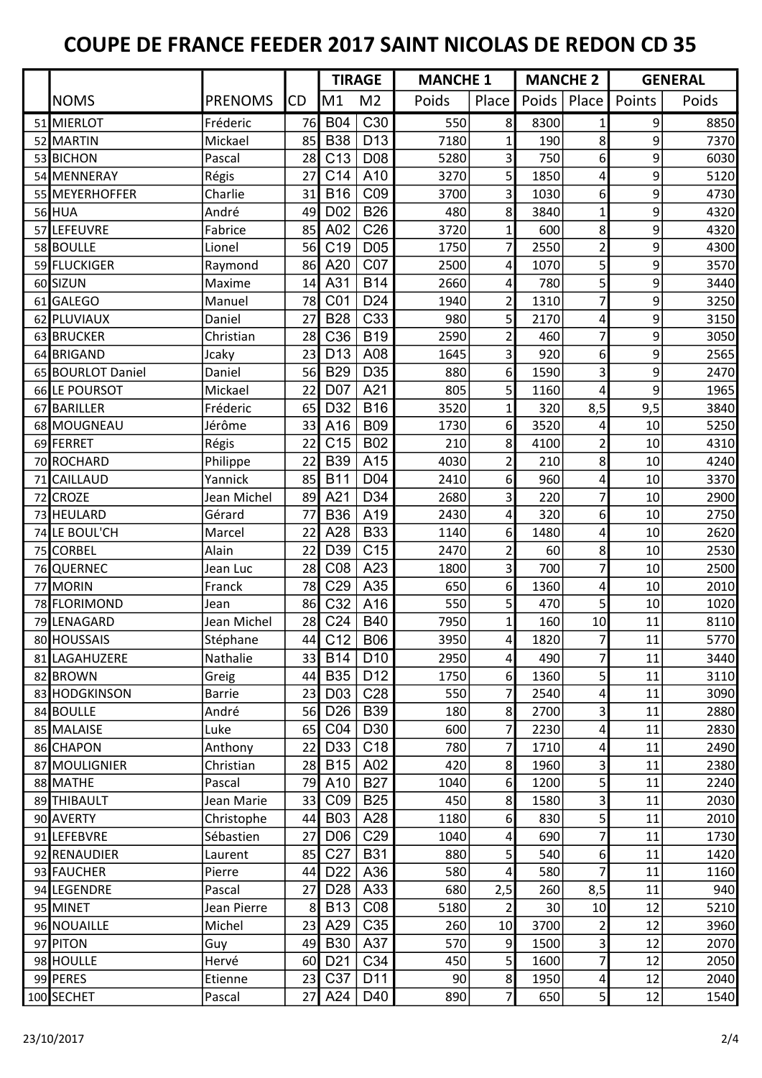|                   |                |                | <b>TIRAGE</b>   |                 | <b>MANCHE 1</b> |                | <b>MANCHE 2</b> |                         | <b>GENERAL</b>   |       |
|-------------------|----------------|----------------|-----------------|-----------------|-----------------|----------------|-----------------|-------------------------|------------------|-------|
| <b>NOMS</b>       | <b>PRENOMS</b> | <b>CD</b>      | M1              | M <sub>2</sub>  | Poids           | Place          | Poids           | Place                   | Points           | Poids |
| 51 MIERLOT        | Fréderic       | 76             | <b>B04</b>      | C30             | 550             | 8 <sup>1</sup> | 8300            | $1\vert$                | $\overline{9}$   | 8850  |
| 52 MARTIN         | Mickael        | 85             | <b>B38</b>      | D13             | 7180            | 1              | 190             | 8                       | 9                | 7370  |
| 53 BICHON         | Pascal         | 28             | C <sub>13</sub> | D08             | 5280            | 3              | 750             | $6 \mid$                | 9                | 6030  |
| 54 MENNERAY       | Régis          | 27             | C14             | A10             | 3270            | 5              | 1850            | 4                       | 9                | 5120  |
| 55 MEYERHOFFER    | Charlie        | 31             | <b>B16</b>      | C <sub>09</sub> | 3700            | $\overline{3}$ | 1030            | 6                       | $\overline{9}$   | 4730  |
| 56 HUA            | André          | 49             | D <sub>02</sub> | <b>B26</b>      | 480             | 8              | 3840            | $\mathbf{1}$            | 9                | 4320  |
| 57 LEFEUVRE       | Fabrice        | 85             | A02             | C <sub>26</sub> | 3720            | $\mathbf{1}$   | 600             | 8                       | 9                | 4320  |
| 58 BOULLE         | Lionel         | 56             | C <sub>19</sub> | D05             | 1750            | 7              | 2550            | $\overline{2}$          | $\boldsymbol{9}$ | 4300  |
| 59 FLUCKIGER      | Raymond        | 86             | A20             | CO <sub>7</sub> | 2500            | 4              | 1070            | 5 <sup>1</sup>          | $\boldsymbol{9}$ | 3570  |
| 60 SIZUN          | Maxime         | 14             | A31             | <b>B14</b>      | 2660            | 4              | 780             | 5                       | 9                | 3440  |
| 61 GALEGO         | Manuel         | 78             | C <sub>01</sub> | D <sub>24</sub> | 1940            | 2              | 1310            | $\overline{7}$          | $\boldsymbol{9}$ | 3250  |
| 62 PLUVIAUX       | Daniel         | 27             | <b>B28</b>      | C33             | 980             | $\overline{5}$ | 2170            | 4                       | 9                | 3150  |
| 63 BRUCKER        | Christian      | 28             | C36             | <b>B19</b>      | 2590            | 2              | 460             | $\overline{7}$          | 9                | 3050  |
| 64 BRIGAND        | Jcaky          | 23             | D <sub>13</sub> | A08             | 1645            | 3              | 920             | 6                       | $\boldsymbol{9}$ | 2565  |
| 65 BOURLOT Daniel | Daniel         | 56             | <b>B29</b>      | D35             | 880             | 6              | 1590            | 3                       | 9                | 2470  |
| 66 LE POURSOT     | Mickael        | 22             | D07             | A21             | 805             | 5 <sup>1</sup> | 1160            | 4                       | 9                | 1965  |
| 67 BARILLER       | Fréderic       | 65             | D32             | <b>B16</b>      | 3520            | 1              | 320             | 8,5                     | 9,5              | 3840  |
| 68 MOUGNEAU       | Jérôme         | 33             | A16             | <b>B09</b>      | 1730            | $6 \mid$       | 3520            | 4                       | 10               | 5250  |
| 69 FERRET         | Régis          | 22             | C15             | <b>B02</b>      | 210             | 8 <sup>1</sup> | 4100            | $\overline{2}$          | 10               | 4310  |
| 70 ROCHARD        | Philippe       | 22             | <b>B39</b>      | A15             | 4030            | $\overline{2}$ | 210             | 8                       | 10               | 4240  |
| 71 CAILLAUD       | Yannick        | 85             | <b>B11</b>      | D04             | 2410            | 6              | 960             | 4                       | 10               | 3370  |
| 72 CROZE          | Jean Michel    | 89             | A21             | D34             | 2680            | 3              | 220             | 7                       | 10               | 2900  |
| 73 HEULARD        | Gérard         | 77             | <b>B36</b>      | A19             | 2430            | 4              | 320             | 6                       | 10               | 2750  |
| 74 LE BOUL'CH     | Marcel         | 22             | A28             | <b>B33</b>      | 1140            | 6              | 1480            | 4                       | 10               | 2620  |
| 75 CORBEL         | Alain          | 22             | D39             | C15             | 2470            | 2              | 60              | 8                       | 10               | 2530  |
| 76 QUERNEC        | Jean Luc       | 28             | C08             | A23             | 1800            | 3              | 700             | $\overline{7}$          | 10               | 2500  |
| 77 MORIN          | Franck         | 78             | C <sub>29</sub> | A35             | 650             | 6 <sup>1</sup> | 1360            | 4                       | 10               | 2010  |
| 78 FLORIMOND      | Jean           | 86             | C32             | A16             | 550             | 5              | 470             | $\mathsf{S}$            | 10               | 1020  |
| 79 LENAGARD       | Jean Michel    | 28             | C <sub>24</sub> | <b>B40</b>      | 7950            | 1              | 160             | 10                      | 11               | 8110  |
| 80 HOUSSAIS       | Stéphane       | 44             | C12             | <b>B06</b>      | 3950            | 4              | 1820            | $\overline{7}$          | 11               | 5770  |
| 81 LAGAHUZERE     | Nathalie       |                | 33 B14          | D <sub>10</sub> | 2950            | 4              | 490             | $\overline{7}$          | 11               | 3440  |
| 82 BROWN          | Greig          | 44             | <b>B35</b>      | D <sub>12</sub> | 1750            | $6 \mid$       | 1360            | $\mathsf{S}$            | 11               | 3110  |
| 83 HODGKINSON     | <b>Barrie</b>  | 23             | D <sub>03</sub> | C <sub>28</sub> | 550             | 7              | 2540            | 4                       | 11               | 3090  |
| 84 BOULLE         | André          | 56             | D <sub>26</sub> | <b>B39</b>      | 180             | 8 <sup>1</sup> | 2700            | $\overline{\mathbf{3}}$ | 11               | 2880  |
| 85 MALAISE        | Luke           | 65             | CO4             | D <sub>30</sub> | 600             | 7              | 2230            | 4                       | 11               | 2830  |
| 86 CHAPON         | Anthony        | 22             | D33             | C <sub>18</sub> | 780             | 7              | 1710            | 4                       | 11               | 2490  |
| 87 MOULIGNIER     | Christian      | 28             | <b>B15</b>      | A02             | 420             | 8              | 1960            | $\overline{\mathbf{3}}$ | 11               | 2380  |
| 88 MATHE          | Pascal         | 79             | A10             | <b>B27</b>      | 1040            | $6 \mid$       | 1200            | $\mathsf{S}$            | 11               | 2240  |
| 89 THIBAULT       | Jean Marie     | 33             | CO <sub>9</sub> | <b>B25</b>      | 450             | 8              | 1580            | $\vert 3 \vert$         | 11               | 2030  |
| 90 AVERTY         | Christophe     | 44             | <b>B03</b>      | A28             | 1180            | $6 \mid$       | 830             | 5 <sup>1</sup>          | 11               | 2010  |
| 91 LEFEBVRE       | Sébastien      | 27             | D <sub>06</sub> | C <sub>29</sub> | 1040            | 4              | 690             | 7                       | 11               | 1730  |
| 92 RENAUDIER      | Laurent        | 85             | C <sub>27</sub> | <b>B31</b>      | 880             | 5 <sup>1</sup> | 540             | $6 \overline{6}$        | 11               | 1420  |
| 93 FAUCHER        | Pierre         | 44             | D <sub>22</sub> | A36             | 580             | 4              | 580             | $\overline{7}$          | 11               | 1160  |
| 94 LEGENDRE       | Pascal         | 27             | D <sub>28</sub> | A33             | 680             | 2,5            | 260             | 8,5                     | 11               | 940   |
| 95 MINET          | Jean Pierre    | 8 <sup>2</sup> | <b>B13</b>      | CO8             | 5180            | 2              | 30              | 10                      | 12               | 5210  |
| 96 NOUAILLE       | Michel         | 23             | A29             | C35             | 260             | 10             | 3700            | $\overline{2}$          | 12               | 3960  |
| 97 PITON          | Guy            | 49             | <b>B30</b>      | A37             | 570             | $\overline{9}$ | 1500            | $\overline{\mathbf{3}}$ | 12               | 2070  |
| 98 HOULLE         | Hervé          | 60             | D <sub>21</sub> | C34             | 450             | 5              | 1600            | 7                       | 12               | 2050  |
| 99 PERES          | Etienne        | 23             | C37             | D11             | 90              | 8 <sup>1</sup> | 1950            | 4                       | 12               | 2040  |
| 100 SECHET        | Pascal         | 27             | A24             | D40             | 890             | $\overline{7}$ | 650             | $\mathsf{S}$            | 12               | 1540  |
|                   |                |                |                 |                 |                 |                |                 |                         |                  |       |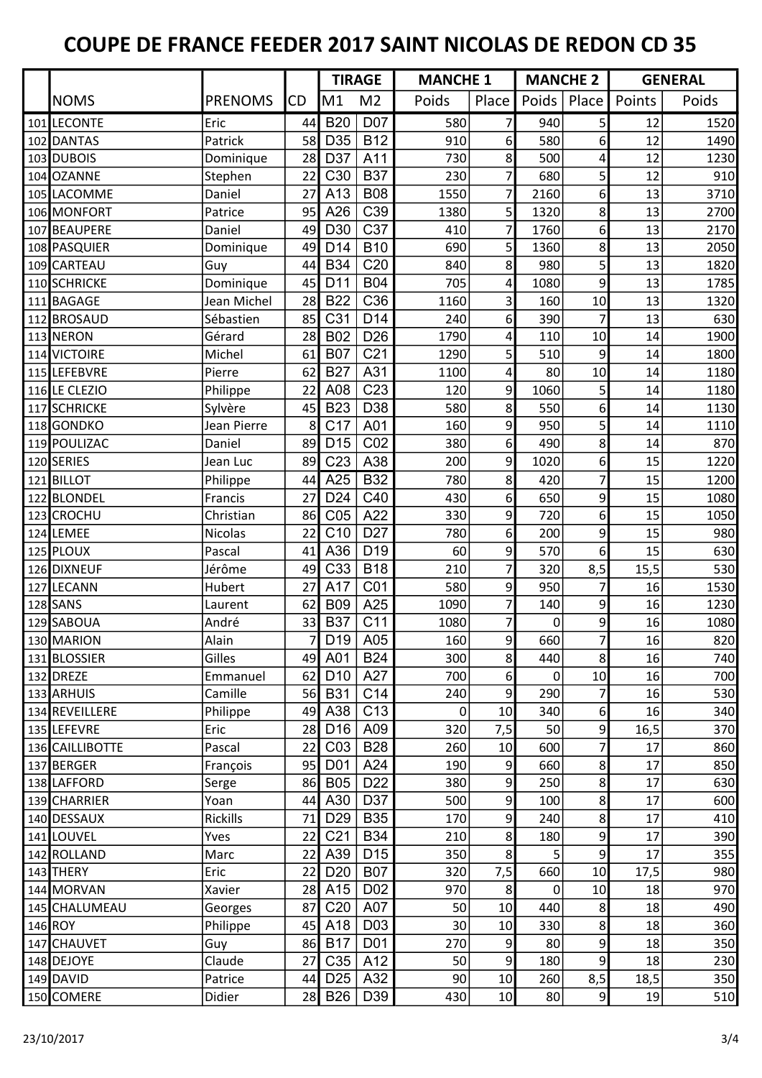|                 |                |                | <b>TIRAGE</b>   |                  |       | <b>MANCHE 1</b> |       | <b>MANCHE 2</b> |        | <b>GENERAL</b> |
|-----------------|----------------|----------------|-----------------|------------------|-------|-----------------|-------|-----------------|--------|----------------|
| <b>NOMS</b>     | <b>PRENOMS</b> | CD             | M1              | M <sub>2</sub>   | Poids | Place           | Poids | Place           | Points | Poids          |
| 101 LECONTE     | Eric           | 44             | <b>B20</b>      | D07              | 580   | 7               | 940   | 5 <sup>1</sup>  | 12     | 1520           |
| 102 DANTAS      | Patrick        | 58             | D35             | <b>B12</b>       | 910   | 6               | 580   | 6               | 12     | 1490           |
| 103 DUBOIS      | Dominique      | 28             | D37             | A11              | 730   | 8               | 500   | 4               | 12     | 1230           |
| 104 OZANNE      | Stephen        | 22             | C30             | <b>B37</b>       | 230   | 7               | 680   | 5               | 12     | 910            |
| 105 LACOMME     | Daniel         | 27             | A13             | <b>B08</b>       | 1550  | 7               | 2160  | 6               | 13     | 3710           |
| 106 MONFORT     | Patrice        | 95             | A26             | C39              | 1380  | 5               | 1320  | 8               | 13     | 2700           |
| 107 BEAUPERE    | Daniel         | 49             | D30             | C37              | 410   | 7               | 1760  | $6 \mid$        | 13     | 2170           |
| 108 PASQUIER    | Dominique      | 49             | D <sub>14</sub> | <b>B10</b>       | 690   | 5 <sup>1</sup>  | 1360  | 8               | 13     | 2050           |
| 109 CARTEAU     | Guy            | 44             | <b>B34</b>      | C <sub>20</sub>  | 840   | 8               | 980   | 5 <sup>1</sup>  | 13     | 1820           |
| 110 SCHRICKE    | Dominique      | 45             | D11             | <b>B04</b>       | 705   | 4               | 1080  | 9               | 13     | 1785           |
| 111 BAGAGE      | Jean Michel    | 28             | <b>B22</b>      | C36              | 1160  | 3               | 160   | 10              | 13     | 1320           |
| 112 BROSAUD     | Sébastien      | 85             | C31             | D <sub>14</sub>  | 240   | 6 <sup>1</sup>  | 390   | $\overline{7}$  | 13     | 630            |
| 113 NERON       | Gérard         | 28             | <b>B02</b>      | D <sub>26</sub>  | 1790  | 4               | 110   | 10              | 14     | 1900           |
| 114 VICTOIRE    | Michel         | 61             | <b>B07</b>      | C <sub>21</sub>  | 1290  | 5               | 510   | 9               | 14     | 1800           |
| 115 LEFEBVRE    | Pierre         | 62             | <b>B27</b>      | A31              | 1100  | 4               | 80    | 10              | 14     | 1180           |
| 116 LE CLEZIO   | Philippe       | 22             | A08             | C <sub>23</sub>  | 120   | $\mathsf{g}$    | 1060  | $\mathsf{S}$    | 14     | 1180           |
| 117 SCHRICKE    | Sylvère        | 45             | <b>B23</b>      | D38              | 580   | 8               | 550   | 6               | 14     | 1130           |
| 118GONDKO       | Jean Pierre    | 8              | C <sub>17</sub> | A01              | 160   | $\mathsf{g}$    | 950   | 5               | 14     | 1110           |
| 119 POULIZAC    | Daniel         | 89             | D <sub>15</sub> | CO <sub>2</sub>  | 380   | 6 <sup>1</sup>  | 490   | 8               | 14     | 870            |
| 120 SERIES      | Jean Luc       | 89             | C <sub>23</sub> | A38              | 200   | 9               | 1020  | 6               | 15     | 1220           |
| 121 BILLOT      | Philippe       | 44             | A25             | <b>B32</b>       | 780   | 8               | 420   | $\overline{7}$  | 15     | 1200           |
| 122 BLONDEL     | Francis        | 27             | D <sub>24</sub> | C40              | 430   | $6 \mid$        | 650   | 9               | 15     | 1080           |
| 123 CROCHU      | Christian      | 86             | C <sub>05</sub> | A22              | 330   | 9               | 720   | 6               | 15     | 1050           |
| 124 LEMEE       | Nicolas        | 22             | C10             | D <sub>27</sub>  | 780   | $6 \mid$        | 200   | 9               | 15     | 980            |
| 125 PLOUX       | Pascal         | 41             | A36             | D <sub>19</sub>  | 60    | 9               | 570   | $6 \mid$        | 15     | 630            |
| 126 DIXNEUF     | Jérôme         | 49             | C33             | <b>B18</b>       | 210   | 7               | 320   | 8,5             | 15,5   | 530            |
| 127 LECANN      | Hubert         | 27             | A17             | CO <sub>1</sub>  | 580   | 9               | 950   | 7               | 16     | 1530           |
| 128 SANS        | Laurent        | 62             | <b>B09</b>      | A25              | 1090  | 7               | 140   | $\overline{9}$  | 16     | 1230           |
| 129 SABOUA      | André          | 33             | <b>B37</b>      | C11              | 1080  |                 | 0     | 9               | 16     | 1080           |
| 130 MARION      | Alain          | $\overline{7}$ | D19             | A05              | 160   | q               | 660   | $\overline{7}$  | 16     | 820            |
| 131 BLOSSIER    | Gilles         |                | 49 A01          | <b>B24</b>       | 300   | 8               | 440   | 8 <sup>1</sup>  | 16     | 740            |
| 132 DREZE       | Emmanuel       | 62             | D <sub>10</sub> | A27              | 700   | $6 \mid$        | 0     | 10              | 16     | 700            |
| 133 ARHUIS      | Camille        | 56             | <b>B31</b>      | C14              | 240   | $\overline{9}$  | 290   | 7               | 16     | 530            |
| 134 REVEILLERE  | Philippe       | 49             | A38             | C <sub>13</sub>  | 0     | 10              | 340   | $6 \mid$        | 16     | 340            |
| 135 LEFEVRE     | Eric           | 28             | D <sub>16</sub> | A09              | 320   | 7,5             | 50    | $\overline{9}$  | 16,5   | 370            |
| 136 CAILLIBOTTE | Pascal         | 22             | CO <sub>3</sub> | <b>B28</b>       | 260   | 10              | 600   | 7               | 17     | 860            |
| 137 BERGER      | François       | 95             | D <sub>01</sub> | A24              | 190   | 9               | 660   | 8 <sup>1</sup>  | 17     | 850            |
| 138 LAFFORD     | Serge          | 86             | <b>B05</b>      | D <sub>22</sub>  | 380   | $\overline{9}$  | 250   | 8               | 17     | 630            |
| 139 CHARRIER    | Yoan           | 44             | A30             | D37              | 500   | $\overline{9}$  | 100   | 8               | 17     | 600            |
| 140 DESSAUX     | Rickills       | 71             | D <sub>29</sub> | <b>B35</b>       | 170   | $\overline{9}$  | 240   | 8 <sup>1</sup>  | 17     | 410            |
| 141 LOUVEL      | Yves           | 22             | C <sub>21</sub> | B34              | 210   | 8               | 180   | $\overline{9}$  | 17     | 390            |
| 142 ROLLAND     | Marc           | 22             | A39             | D <sub>15</sub>  | 350   | 8               | 5     | $\overline{9}$  | 17     | 355            |
| 143 THERY       | Eric           | 22             | D <sub>20</sub> | <b>B07</b>       | 320   | 7,5             | 660   | 10              | 17,5   | 980            |
| 144 MORVAN      | Xavier         | 28             | A15             | D <sub>02</sub>  | 970   | 8               | 0     | 10              | 18     | 970            |
| 145 CHALUMEAU   | Georges        | 87             | C <sub>20</sub> | A07              | 50    | 10              | 440   | 8               | 18     | 490            |
| 146 ROY         | Philippe       | 45             | A18             | D <sub>0</sub> 3 | 30    | 10              | 330   | 8               | 18     | 360            |
| 147 CHAUVET     | Guy            | 86             | <b>B17</b>      | D01              | 270   | $\overline{9}$  | 80    | $\overline{9}$  | 18     | 350            |
| 148 DEJOYE      | Claude         | 27             | C35             | A12              | 50    | 9               | 180   | 9               | 18     | 230            |
| 149 DAVID       | Patrice        | 44             | D <sub>25</sub> | A32              | 90    | 10              | 260   | 8,5             | 18,5   | 350            |
| 150 COMERE      | Didier         |                | 28 B26          | D39              | 430   | 10              | 80    | 9               | 19     | 510            |